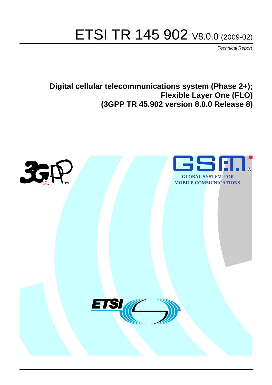# ETSI TR 145 902 V8.0.0 (2009-02)

*Technical Report*

**Digital cellular telecommunications system (Phase 2+); Flexible Layer One (FLO) (3GPP TR 45.902 version 8.0.0 Release 8)**

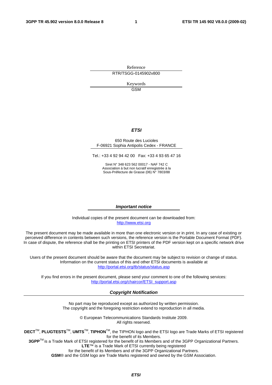Reference RTR/TSGG-0145902v800

> Keywords GSM

#### *ETSI*

#### 650 Route des Lucioles F-06921 Sophia Antipolis Cedex - FRANCE

Tel.: +33 4 92 94 42 00 Fax: +33 4 93 65 47 16

Siret N° 348 623 562 00017 - NAF 742 C Association à but non lucratif enregistrée à la Sous-Préfecture de Grasse (06) N° 7803/88

#### *Important notice*

Individual copies of the present document can be downloaded from: [http://www.etsi.org](http://www.etsi.org/)

The present document may be made available in more than one electronic version or in print. In any case of existing or perceived difference in contents between such versions, the reference version is the Portable Document Format (PDF). In case of dispute, the reference shall be the printing on ETSI printers of the PDF version kept on a specific network drive within ETSI Secretariat.

Users of the present document should be aware that the document may be subject to revision or change of status. Information on the current status of this and other ETSI documents is available at <http://portal.etsi.org/tb/status/status.asp>

If you find errors in the present document, please send your comment to one of the following services: [http://portal.etsi.org/chaircor/ETSI\\_support.asp](http://portal.etsi.org/chaircor/ETSI_support.asp)

#### *Copyright Notification*

No part may be reproduced except as authorized by written permission. The copyright and the foregoing restriction extend to reproduction in all media.

> © European Telecommunications Standards Institute 2009. All rights reserved.

**DECT**TM, **PLUGTESTS**TM, **UMTS**TM, **TIPHON**TM, the TIPHON logo and the ETSI logo are Trade Marks of ETSI registered for the benefit of its Members.

**3GPP**TM is a Trade Mark of ETSI registered for the benefit of its Members and of the 3GPP Organizational Partners. **LTE**™ is a Trade Mark of ETSI currently being registered

for the benefit of its Members and of the 3GPP Organizational Partners.

**GSM**® and the GSM logo are Trade Marks registered and owned by the GSM Association.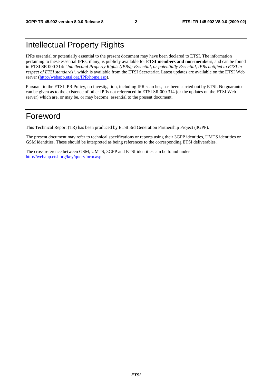## Intellectual Property Rights

IPRs essential or potentially essential to the present document may have been declared to ETSI. The information pertaining to these essential IPRs, if any, is publicly available for **ETSI members and non-members**, and can be found in ETSI SR 000 314: *"Intellectual Property Rights (IPRs); Essential, or potentially Essential, IPRs notified to ETSI in respect of ETSI standards"*, which is available from the ETSI Secretariat. Latest updates are available on the ETSI Web server ([http://webapp.etsi.org/IPR/home.asp\)](http://webapp.etsi.org/IPR/home.asp).

Pursuant to the ETSI IPR Policy, no investigation, including IPR searches, has been carried out by ETSI. No guarantee can be given as to the existence of other IPRs not referenced in ETSI SR 000 314 (or the updates on the ETSI Web server) which are, or may be, or may become, essential to the present document.

## Foreword

This Technical Report (TR) has been produced by ETSI 3rd Generation Partnership Project (3GPP).

The present document may refer to technical specifications or reports using their 3GPP identities, UMTS identities or GSM identities. These should be interpreted as being references to the corresponding ETSI deliverables.

The cross reference between GSM, UMTS, 3GPP and ETSI identities can be found under [http://webapp.etsi.org/key/queryform.asp.](http://webapp.etsi.org/key/queryform.asp)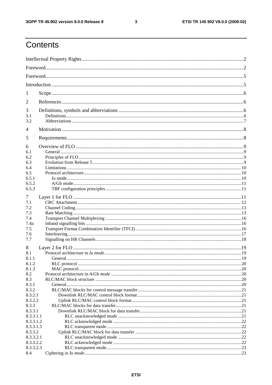#### $\mathbf{3}$

## Contents

| 1                      |  |
|------------------------|--|
| 2                      |  |
| 3                      |  |
| 3.1<br>3.2             |  |
| 4                      |  |
| 5                      |  |
| 6                      |  |
| 6.1                    |  |
| 6.2                    |  |
| 6.3                    |  |
| 6.4                    |  |
| 6.5                    |  |
| 6.5.1                  |  |
| 6.5.2                  |  |
| 6.5.3                  |  |
| 7                      |  |
| 7.1                    |  |
| 7.2                    |  |
| 7.3                    |  |
| 7.4                    |  |
| 7.4a                   |  |
| 7.5                    |  |
| 7.6                    |  |
| 7.7                    |  |
| 8                      |  |
| 8.1                    |  |
| 8.1.1                  |  |
| 8.1.2                  |  |
| 8.1.3                  |  |
| 8.2                    |  |
| 8.3                    |  |
| 8.3.1                  |  |
| 8.3.2                  |  |
| 8.3.2.1                |  |
| 8.3.2.2                |  |
| 8.3.3                  |  |
| 8.3.3.1                |  |
| 8.3.3.1.1              |  |
| 8.3.3.1.2              |  |
| 8.3.3.1.3              |  |
| 8.3.3.2                |  |
| 8.3.3.2.1              |  |
| 8.3.3.2.2<br>8.3.3.2.3 |  |
| 8.4                    |  |
|                        |  |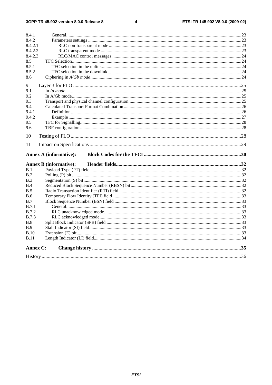#### $\overline{\mathbf{4}}$

| 8.4.1        |                               |  |
|--------------|-------------------------------|--|
| 8.4.2        |                               |  |
| 8.4.2.1      |                               |  |
| 8.4.2.2      |                               |  |
| 8.4.2.3      |                               |  |
| 8.5          |                               |  |
| 8.5.1        |                               |  |
| 8.5.2        |                               |  |
| 8.6          |                               |  |
| 9            |                               |  |
| 9.1          |                               |  |
| 9.2          |                               |  |
| 9.3          |                               |  |
| 9.4          |                               |  |
| 9.4.1        |                               |  |
| 9.4.2        |                               |  |
| 9.5          |                               |  |
| 9.6          |                               |  |
| 10           |                               |  |
|              |                               |  |
| 11           |                               |  |
|              |                               |  |
|              | <b>Annex A (informative):</b> |  |
|              | <b>Annex B</b> (informative): |  |
| B.1          |                               |  |
| B.2          |                               |  |
| B.3          |                               |  |
| B.4          |                               |  |
| B.5          |                               |  |
| <b>B.6</b>   |                               |  |
| B.7          |                               |  |
| <b>B.7.1</b> |                               |  |
| <b>B.7.2</b> |                               |  |
| <b>B.7.3</b> |                               |  |
| B.8          |                               |  |
| B.9          |                               |  |
| B.10         |                               |  |
| <b>B.11</b>  |                               |  |
| Annex C:     |                               |  |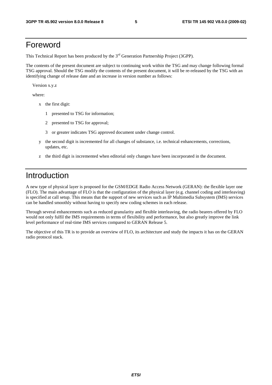## Foreword

This Technical Report has been produced by the  $3<sup>rd</sup>$  Generation Partnership Project (3GPP).

The contents of the present document are subject to continuing work within the TSG and may change following formal TSG approval. Should the TSG modify the contents of the present document, it will be re-released by the TSG with an identifying change of release date and an increase in version number as follows:

Version x.y.z

where:

- x the first digit:
	- 1 presented to TSG for information;
	- 2 presented to TSG for approval;
	- 3 or greater indicates TSG approved document under change control.
- y the second digit is incremented for all changes of substance, i.e. technical enhancements, corrections, updates, etc.
- z the third digit is incremented when editorial only changes have been incorporated in the document.

## Introduction

A new type of physical layer is proposed for the GSM/EDGE Radio Access Network (GERAN): the flexible layer one (FLO). The main advantage of FLO is that the configuration of the physical layer (e.g. channel coding and interleaving) is specified at call setup. This means that the support of new services such as IP Multimedia Subsystem (IMS) services can be handled smoothly without having to specify new coding schemes in each release.

Through several enhancements such as reduced granularity and flexible interleaving, the radio bearers offered by FLO would not only fulfil the IMS requirements in terms of flexibility and performance, but also greatly improve the link level performance of real-time IMS services compared to GERAN Release 5.

The objective of this TR is to provide an overview of FLO, its architecture and study the impacts it has on the GERAN radio protocol stack.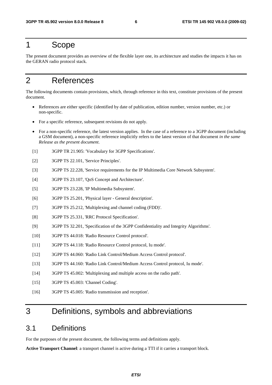## 1 Scope

The present document provides an overview of the flexible layer one, its architecture and studies the impacts it has on the GERAN radio protocol stack.

## 2 References

The following documents contain provisions, which, through reference in this text, constitute provisions of the present document.

- References are either specific (identified by date of publication, edition number, version number, etc.) or non-specific.
- For a specific reference, subsequent revisions do not apply.
- For a non-specific reference, the latest version applies. In the case of a reference to a 3GPP document (including a GSM document), a non-specific reference implicitly refers to the latest version of that document *in the same Release as the present document*.
- [1] 3GPP TR 21.905: 'Vocabulary for 3GPP Specifications'.
- [2] 3GPP TS 22.101, 'Service Principles'.
- [3] 3GPP TS 22.228, 'Service requirements for the IP Multimedia Core Network Subsystem'.
- [4] 3GPP TS 23.107, 'QoS Concept and Architecture'.
- [5] 3GPP TS 23.228, 'IP Multimedia Subsystem'.
- [6] 3GPP TS 25.201, 'Physical layer General description'.
- [7] 3GPP TS 25.212, 'Multiplexing and channel coding (FDD)'.
- [8] 3GPP TS 25.331, 'RRC Protocol Specification'.
- [9] 3GPP TS 32.201, 'Specification of the 3GPP Confidentiality and Integrity Algorithms'.
- [10] 3GPP TS 44.018: 'Radio Resource Control protocol'.
- [11] 3GPP TS 44.118: 'Radio Resource Control protocol, Iu mode'.
- [12] 3GPP TS 44.060: 'Radio Link Control/Medium Access Control protocol'.
- [13] 3GPP TS 44.160: 'Radio Link Control/Medium Access Control protocol, Iu mode'.
- [14] 3GPP TS 45.002: 'Multiplexing and multiple access on the radio path'.
- [15] 3GPP TS 45.003: 'Channel Coding'.
- [16] 3GPP TS 45.005: 'Radio transmission and reception'.

## 3 Definitions, symbols and abbreviations

### 3.1 Definitions

For the purposes of the present document, the following terms and definitions apply.

**Active Transport Channel**: a transport channel is active during a TTI if it carries a transport block.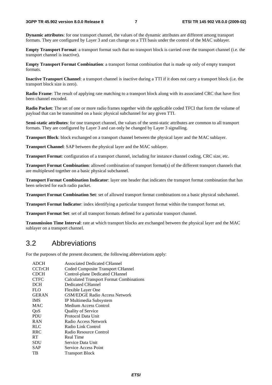**Dynamic attributes**: for one transport channel, the values of the dynamic attributes are different among transport formats. They are configured by Layer 3 and can change on a TTI basis under the control of the MAC sublayer.

**Empty Transport Format**: a transport format such that no transport block is carried over the transport channel (i.e. the transport channel is inactive).

**Empty Transport Format Combination**: a transport format combination that is made up only of empty transport formats.

**Inactive Transport Channel**: a transport channel is inactive during a TTI if it does not carry a transport block (i.e. the transport block size is zero).

**Radio Frame**: The result of applying rate matching to a transport block along with its associated CRC that have first been channel encoded.

**Radio Packet**: The set of one or more radio frames together with the applicable coded TFCI that form the volume of payload that can be transmitted on a basic physical subchannel for any given TTI.

**Semi-static attributes**: for one transport channel, the values of the semi-static attributes are common to all transport formats. They are configured by Layer 3 and can only be changed by Layer 3 signalling.

**Transport Block**: block exchanged on a transport channel between the physical layer and the MAC sublayer.

**Transport Channel**: SAP between the physical layer and the MAC sublayer.

**Transport Format**: configuration of a transport channel, including for instance channel coding, CRC size, etc.

**Transport Format Combination**: allowed combination of transport format(s) of the different transport channels that are multiplexed together on a basic physical subchannel.

**Transport Format Combination Indicator**: layer one header that indicates the transport format combination that has been selected for each radio packet.

**Transport Format Combination Set**: set of allowed transport format combinations on a basic physical subchannel.

**Transport Format Indicator**: index identifying a particular transport format within the transport format set.

**Transport Format Set**: set of all transport formats defined for a particular transport channel.

**Transmission Time Interval**: rate at which transport blocks are exchanged between the physical layer and the MAC sublayer on a transport channel.

### 3.2 Abbreviations

For the purposes of the present document, the following abbreviations apply:

| <b>ADCH</b>   | <b>Associated Dedicated CHannel</b>      |
|---------------|------------------------------------------|
| <b>CCTrCH</b> | Coded Composite Transport CHannel        |
| <b>CDCH</b>   | Control-plane Dedicated CHannel          |
| <b>CTFC</b>   | Calculated Transport Format Combinations |
| DCH           | Dedicated CHannel                        |
| <b>FLO</b>    | Flexible Layer One                       |
| <b>GERAN</b>  | <b>GSM/EDGE Radio Access Network</b>     |
| <b>IMS</b>    | IP Multimedia Subsystem                  |
| <b>MAC</b>    | Medium Access Control                    |
| QoS           | <b>Quality of Service</b>                |
| <b>PDU</b>    | Protocol Data Unit                       |
| <b>RAN</b>    | Radio Access Network                     |
| <b>RLC</b>    | Radio Link Control                       |
| <b>RRC</b>    | Radio Resource Control                   |
| <b>RT</b>     | Real Time                                |
| <b>SDU</b>    | Service Data Unit                        |
| <b>SAP</b>    | Service Access Point                     |
| TВ            | <b>Transport Block</b>                   |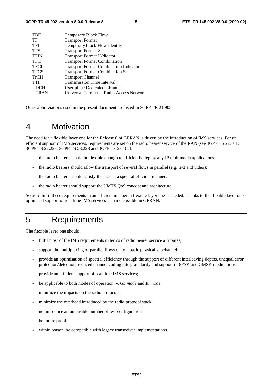| <b>TBF</b>   | <b>Temporary Block Flow</b>                   |
|--------------|-----------------------------------------------|
| TF           | <b>Transport Format</b>                       |
| <b>TFI</b>   | Temporary block Flow Identity                 |
| <b>TFS</b>   | <b>Transport Format Set</b>                   |
| <b>TFIN</b>  | <b>Transport Format INdicator</b>             |
| <b>TFC</b>   | <b>Transport Format Combination</b>           |
| <b>TFCI</b>  | <b>Transport Format Combination Indicator</b> |
| <b>TFCS</b>  | <b>Transport Format Combination Set</b>       |
| <b>TrCH</b>  | <b>Transport Channel</b>                      |
| <b>TTI</b>   | <b>Transmission Time Interval</b>             |
| <b>UDCH</b>  | User-plane Dedicated CHannel                  |
| <b>UTRAN</b> | Universal Terrestrial Radio Access Network    |
|              |                                               |

Other abbreviations used in the present document are listed in 3GPP TR 21.905.

## 4 Motivation

The need for a flexible layer one for the Release 6 of GERAN is driven by the introduction of IMS services. For an efficient support of IMS services, requirements are set on the radio bearer service of the RAN (see 3GPP TS 22.101, 3GPP TS 22.228, 3GPP TS 23.228 and 3GPP TS 23.107):

- the radio bearers should be flexible enough to efficiently deploy any IP multimedia applications;
- the radio bearers should allow the transport of several flows in parallel (e.g. text and video);
- the radio bearers should satisfy the user in a spectral efficient manner;
- the radio bearer should support the UMTS QoS concept and architecture.

So as to fulfil these requirements in an efficient manner, a flexible layer one is needed. Thanks to the flexible layer one optimised support of real time IMS services is made possible in GERAN.

## 5 Requirements

The flexible layer one should:

- fulfil most of the IMS requirements in terms of radio bearer service attributes;
- support the multiplexing of parallel flows on to a basic physical subchannel;
- provide an optimisation of spectral efficiency through the support of different interleaving depths, unequal error protection/detection, reduced channel coding rate granularity and support of 8PSK and GMSK modulations;
- provide an efficient support of real time IMS services;
- be applicable to both modes of operation: *A/Gb mode* and *Iu mode*;
- minimize the impacts on the radio protocols;
- minimize the overhead introduced by the radio protocol stack;
- not introduce an unfeasible number of test configurations;
- be future proof;
- within reason, be compatible with legacy transceiver implementations.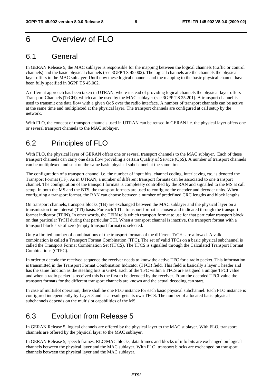## 6 Overview of FLO

### 6.1 General

In GERAN Release 5, the MAC sublayer is responsible for the mapping between the logical channels (traffic or control channels) and the basic physical channels (see 3GPP TS 45.002). The logical channels are the channels the physical layer offers to the MAC sublayer. Until now these logical channels and the mapping to the basic physical channel have been fully specified in 3GPP TS 45.002.

A different approach has been taken in UTRAN, where instead of providing logical channels the physical layer offers Transport Channels (TrCH), which can be used by the MAC sublayer (see 3GPP TS 25.201). A transport channel is used to transmit one data flow with a given QoS over the radio interface. A number of transport channels can be active at the same time and multiplexed at the physical layer. The transport channels are configured at call setup by the network.

With FLO, the concept of transport channels used in UTRAN can be reused in GERAN i.e. the physical layer offers one or several transport channels to the MAC sublayer.

## 6.2 Principles of FLO

With FLO, the physical layer of GERAN offers one or several transport channels to the MAC sublayer. Each of these transport channels can carry one data flow providing a certain Quality of Service (QoS). A number of transport channels can be multiplexed and sent on the same basic physical subchannel at the same time.

The configuration of a transport channel i.e. the number of input bits, channel coding, interleaving etc. is denoted the Transport Format (TF). As in UTRAN, a number of different transport formats can be associated to one transport channel. The configuration of the transport formats is completely controlled by the RAN and signalled to the MS at call setup. In both the MS and the BTS, the transport formats are used to configure the encoder and decoder units. When configuring a transport format, the RAN can choose between a number of predefined CRC lengths and block lengths.

On transport channels, transport blocks (TB) are exchanged between the MAC sublayer and the physical layer on a transmission time interval (TTI) basis. For each TTI a transport format is chosen and indicated through the transport format indicator (TFIN). In other words, the TFIN tells which transport format to use for that particular transport block on that particular TrCH during that particular TTI. When a transport channel is inactive, the transport format with a transport block size of zero (empty transport format) is selected.

Only a limited number of combinations of the transport formats of the different TrCHs are allowed. A valid combination is called a Transport Format Combination (TFC). The set of valid TFCs on a basic physical subchannel is called the Transport Format Combination Set (TFCS). The TFCS is signalled through the Calculated Transport Format Combinations (CTFC).

In order to decode the received sequence the receiver needs to know the active TFC for a radio packet. This information is transmitted in the Transport Format Combination Indicator (TFCI) field. This field is basically a layer 1 header and has the same function as the stealing bits in GSM. Each of the TFC within a TFCS are assigned a unique TFCI value and when a radio packet is received this is the first to be decoded by the receiver. From the decoded TFCI value the transport formats for the different transport channels are known and the actual decoding can start.

In case of multislot operation, there shall be one FLO instance for each basic physical subchannel. Each FLO instance is configured independently by Layer 3 and as a result gets its own TFCS. The number of allocated basic physical subchannels depends on the multislot capabilities of the MS.

## 6.3 Evolution from Release 5

In GERAN Release 5, logical channels are offered by the physical layer to the MAC sublayer. With FLO, transport channels are offered by the physical layer to the MAC sublayer.

In GERAN Release 5, speech frames, RLC/MAC blocks, data frames and blocks of info bits are exchanged on logical channels between the physical layer and the MAC sublayer. With FLO, transport blocks are exchanged on transport channels between the physical layer and the MAC sublayer.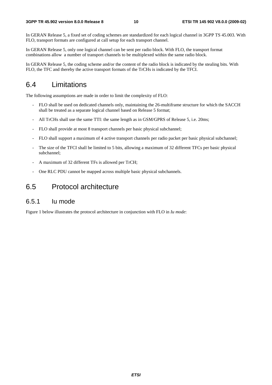In GERAN Release 5, a fixed set of coding schemes are standardized for each logical channel in 3GPP TS 45.003. With FLO, transport formats are configured at call setup for each transport channel.

In GERAN Release 5, only one logical channel can be sent per radio block. With FLO, the transport format combinations allow a number of transport channels to be multiplexed within the same radio block.

In GERAN Release 5, the coding scheme and/or the content of the radio block is indicated by the stealing bits. With FLO, the TFC and thereby the active transport formats of the TrCHs is indicated by the TFCI.

### 6.4 Limitations

The following assumptions are made in order to limit the complexity of FLO:

- FLO shall be used on dedicated channels only, maintaining the 26-multiframe structure for which the SACCH shall be treated as a separate logical channel based on Release 5 format;
- All TrCHs shall use the same TTI: the same length as in GSM/GPRS of Release 5, i.e. 20ms;
- FLO shall provide at most 8 transport channels per basic physical subchannel;
- FLO shall support a maximum of 4 active transport channels per radio packet per basic physical subchannel;
- The size of the TFCI shall be limited to 5 bits, allowing a maximum of 32 different TFCs per basic physical subchannel;
- A maximum of 32 different TFs is allowed per TrCH;
- One RLC PDU cannot be mapped across multiple basic physical subchannels.

### 6.5 Protocol architecture

### 6.5.1 Iu mode

Figure 1 below illustrates the protocol architecture in conjunction with FLO in *Iu mode*: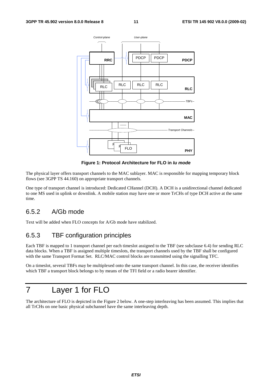

**Figure 1: Protocol Architecture for FLO in** *Iu mode*

The physical layer offers transport channels to the MAC sublayer. MAC is responsible for mapping temporary block flows (see 3GPP TS 44.160) on appropriate transport channels.

One type of transport channel is introduced: Dedicated CHannel (DCH). A DCH is a unidirectional channel dedicated to one MS used in uplink or downlink. A mobile station may have one or more TrCHs of type DCH active at the same time.

### 6.5.2 A/Gb mode

Text will be added when FLO concepts for A/Gb mode have stabilized.

### 6.5.3 TBF configuration principles

Each TBF is mapped to 1 transport channel per each timeslot assigned to the TBF (see subclause 6.4) for sending RLC data blocks. When a TBF is assigned multiple timeslots, the transport channels used by the TBF shall be configured with the same Transport Format Set. RLC/MAC control blocks are transmitted using the signalling TFC.

On a timeslot, several TBFs may be multiplexed onto the same transport channel. In this case, the receiver identifies which TBF a transport block belongs to by means of the TFI field or a radio bearer identifier.

## 7 Layer 1 for FLO

The architecture of FLO is depicted in the Figure 2 below. A one-step interleaving has been assumed. This implies that all TrCHs on one basic physical subchannel have the same interleaving depth.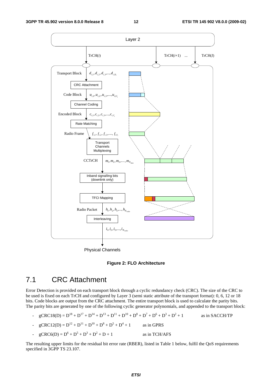

**Figure 2: FLO Architecture** 

## 7.1 CRC Attachment

Error Detection is provided on each transport block through a cyclic redundancy check (CRC). The size of the CRC to be used is fixed on each TrCH and configured by Layer 3 (semi static attribute of the transport format): 0, 6, 12 or 18 bits. Code blocks are output from the CRC attachment. The entire transport block is used to calculate the parity bits. The parity bits are generated by one of the following cyclic generator polynomials, and appended to the transport block:

- $gCRC18(D) = D^{18} + D^{17} + D^{14} + D^{13} + D^{11} + D^{10} + D^8 + D^7 + D^6 + D^3 + D^2$ as in SACCH/TP
- $gCRC12(D) = D^{12} + D^{11} + D^{10} + D^8 + D^5 + D^4$ as in GPRS
- $gCRC6(D) = D^6 + D^5 + D^3 + D^2$ as in TCH/AFS

The resulting upper limits for the residual bit error rate (RBER), listed in Table 1 below, fulfil the QoS requirements specified in 3GPP TS 23.107.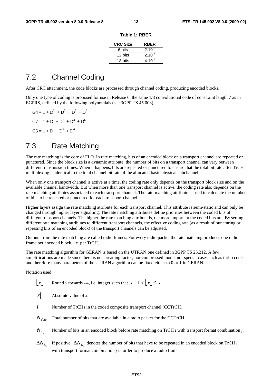| <b>CRC Size</b> | <b>RBER</b> |
|-----------------|-------------|
| 6 bits          | $2.10^{-2}$ |
| 12 bits         | $2.10^{4}$  |
| 18 bits         | $4.10^{6}$  |

#### **Table 1: RBER**

### 7.2 Channel Coding

After CRC attachment, the code blocks are processed through channel coding, producing encoded blocks.

Only one type of coding is proposed for use in Release 6, the same 1/3 convolutional code of constraint length 7 as in EGPRS, defined by the following polynomials (see 3GPP TS 45.003):

 $G4 = 1 + D^2 + D^3 + D^5 + D^6$  $G7 = 1 + D + D<sup>2</sup> + D<sup>3</sup> + D<sup>6</sup>$  $GS = 1 + D + D<sup>4</sup> + D<sup>6</sup>$ 

### 7.3 Rate Matching

The rate matching is the core of FLO. In rate matching, bits of an encoded block on a transport channel are repeated or punctured. Since the block size is a dynamic attribute, the number of bits on a transport channel can vary between different transmission times. When it happens, bits are repeated or punctured to ensure that the total bit rate after TrCH multiplexing is identical to the total channel bit rate of the allocated basic physical subchannel.

When only one transport channel is active at a time, the coding rate only depends on the transport block size and on the available channel bandwidth. But when more than one transport channel is active, the coding rate also depends on the rate matching attributes associated to each transport channel. The rate-matching attribute is used to calculate the number of bits to be repeated or punctured for each transport channel.

Higher layers assign the rate matching attribute for each transport channel. This attribute is semi-static and can only be changed through higher layer signalling. The rate matching attributes define priorities between the coded bits of different transport channels. The higher the rate matching attribute is, the more important the coded bits are. By setting different rate matching attributes to different transport channels, the effective coding rate (as a result of puncturing or repeating bits of an encoded block) of the transport channels can be adjusted.

Outputs from the rate matching are called radio frames. For every radio packet the rate matching produces one radio frame per encoded block, i.e. per TrCH.

The rate matching algorithm for GERAN is based on the UTRAN one defined in 3GPP TS 25.212. A few simplifications are made since there is no spreading factor, nor compressed mode, nor special cases such as turbo codes and therefore many parameters of the UTRAN algorithm can be fixed either to 0 or 1 in GERAN.

Notation used:

 $\lfloor x \rfloor$  Round *x* towards -∞, i.e. integer such that  $x - 1 < |x| \le x$ .

- $|x|$  Absolute value of *x*.
- *I* Number of TrCHs in the coded composite transport channel (CCTrCH).
- *N<sub>data</sub>* Total number of bits that are available in a radio packet for the CCTrCH.
- *Ni*, *<sup>j</sup>* Number of bits in an encoded block before rate matching on TrCH *i* with transport format combination *j*.
- $\Delta N_i$ , If positive,  $\Delta N_i$ , denotes the number of bits that have to be repeated in an encoded block on TrCH *i* with transport format combination *j* in order to produce a radio frame.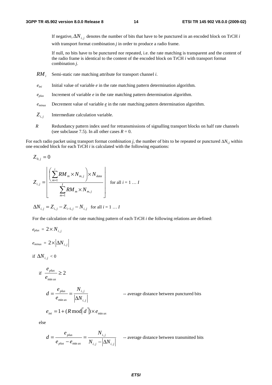If negative,  $\Delta N_i$ , denotes the number of bits that have to be punctured in an encoded block on TrCH *i* with transport format combination *j* in order to produce a radio frame.

 If null, no bits have to be punctured nor repeated, i.e. the rate matching is transparent and the content of the radio frame is identical to the content of the encoded block on TrCH *i* with transport format combination *j*.

- *RM* Semi-static rate matching attribute for transport channel *i*.
- *eini* Initial value of variable *e* in the rate matching pattern determination algorithm.
- *eplus* Increment of variable *e* in the rate matching pattern determination algorithm.
- *eminus* Decrement value of variable *e* in the rate matching pattern determination algorithm.
- *Zi*, *<sup>j</sup>* Intermediate calculation variable.
- *R* Redundancy pattern index used for retransmissions of signalling transport blocks on half rate channels (see subclause 7.5). In all other cases  $R = 0$ .

For each radio packet using transport format combination *j*, the number of bits to be repeated or punctured  $\Delta N_{i,j}$  within one encoded block for each TrCH *i* is calculated with the following equations:

$$
Z_{0,j} = 0
$$
  

$$
Z_{i,j} = \left[ \frac{\left( \sum_{m=1}^{i} RM_m \times N_{m,j} \right) \times N_{data}}{\sum_{m=1}^{I} RM_m \times N_{m,j}} \right]
$$
 for all  $i = 1 ... I$ 

$$
\Delta N_{i,j} = Z_{i,j} - Z_{i-1,j} - N_{i,j}
$$
 for all  $i = 1...I$ 

For the calculation of the rate matching pattern of each TrCH *i* the following relations are defined:

$$
e_{plus} = 2 \times N_{i,j}
$$
  

$$
e_{minus} = 2 \times |\Delta N_{i,j}|
$$
  
if  $\Delta N_{i,j} < 0$ 

$$
\text{if} \ \frac{e_{\text{plus}}}{e_{\min \text{us}}} \geq 2
$$

*d*

*i j i j us plus N N e e* ,  $=\frac{\epsilon_{plus}}{e_{min}} = \frac{N_{i,j}}{|\Delta N_{i,j}|}$  -- average distance between punctured bits

$$
e_{\text{ini}} = 1 + (R \mod d) \times e_{\text{min us}}
$$

else

$$
d = \frac{e_{\text{plus}}}{e_{\text{plus}} - e_{\text{min us}}} = \frac{N_{i,j}}{N_{i,j} - |\Delta N_{i,j}|}
$$
 -- average distance between transmitted bits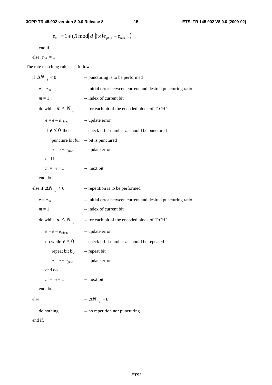$$
e_{\text{ini}} = 1 + (R \mod d) \times (e_{\text{plus}} - e_{\text{min us}})
$$

end if

else  $e_{ini} = 1$ 

The rate matching rule is as follows:

| if $\Delta N_{i,i} < 0$      | -- puncturing is to be performed                              |  |  |  |
|------------------------------|---------------------------------------------------------------|--|--|--|
| $e=e_\mathit{ini}$           | -- initial error between current and desired puncturing ratio |  |  |  |
| $m=1$                        | -- index of current bit                                       |  |  |  |
| do while $m \leq N_{i,j}$    | -- for each bit of the encoded block of TrCHi                 |  |  |  |
| $e = e - e_{\text{minus}}$   | -- update error                                               |  |  |  |
| if $e \leq 0$ then           | -- check if bit number $m$ should be punctured                |  |  |  |
|                              | puncture bit $b_{im}$ -- bit is punctured                     |  |  |  |
| $e = e + e_{plus}$           | -- update error                                               |  |  |  |
| end if                       |                                                               |  |  |  |
| $m=m+1$                      | -- next bit                                                   |  |  |  |
| end do                       |                                                               |  |  |  |
| else if $\Delta N_{i,i} > 0$ | -- repetition is to be performed                              |  |  |  |
| $e = e_{ini}$                | -- initial error between current and desired puncturing ratio |  |  |  |
| $m=1$                        | -- index of current bit                                       |  |  |  |
| do while $m \leq N_{i,j}$    | -- for each bit of the encoded block of TrCHi                 |  |  |  |
| $e = e - e_{\text{minus}}$   | -- update error                                               |  |  |  |
| do while $e \leq 0$          | -- check if bit number $m$ should be repeated                 |  |  |  |
| repeat bit $b_{i,m}$         | -- repeat bit                                                 |  |  |  |
| $e = e + e_{plus}$           | -- update error                                               |  |  |  |
| end do                       |                                                               |  |  |  |
| $m = m + 1$                  | -- next bit                                                   |  |  |  |
| end do                       |                                                               |  |  |  |
| else                         | $-\Delta N_{i,j}=0$                                           |  |  |  |
| do nothing                   | -- no repetition nor puncturing                               |  |  |  |
| end if.                      |                                                               |  |  |  |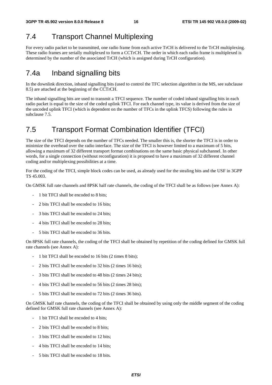## 7.4 Transport Channel Multiplexing

For every radio packet to be transmitted, one radio frame from each active TrCH is delivered to the TrCH multiplexing. These radio frames are serially multiplexed to form a CCTrCH. The order in which each radio frame is multiplexed is determined by the number of the associated TrCH (which is assigned during TrCH configuration).

## 7.4a Inband signalling bits

In the downlink direction, inband signalling bits (used to control the TFC selection algorithm in the MS, see subclause 8.5) are attached at the beginning of the CCTrCH.

The inband signalling bits are used to transmit a TFCI sequence. The number of coded inband signalling bits in each radio packet is equal to the size of the coded uplink TFCI. For each channel type, its value is derived from the size of the uncoded uplink TFCI (which is dependent on the number of TFCs in the uplink TFCS) following the rules in subclause 7.5.

## 7.5 Transport Format Combination Identifier (TFCI)

The size of the TFCI depends on the number of TFCs needed. The smaller this is, the shorter the TFCI is in order to minimize the overhead over the radio interface. The size of the TFCI is however limited to a maximum of 5 bits, allowing a maximum of 32 different transport format combinations on the same basic physical subchannel. In other words, for a single connection (without reconfiguration) it is proposed to have a maximum of 32 different channel coding and/or multiplexing possibilities at a time.

For the coding of the TFCI, simple block codes can be used, as already used for the stealing bits and the USF in 3GPP TS 45.003.

On GMSK full rate channels and 8PSK half rate channels, the coding of the TFCI shall be as follows (see Annex A):

- 1 bit TFCI shall be encoded to 8 bits;
- 2 bits TFCI shall be encoded to 16 bits;
- 3 bits TFCI shall be encoded to 24 bits;
- 4 bits TFCI shall be encoded to 28 bits;
- 5 bits TFCI shall be encoded to 36 bits.

On 8PSK full rate channels, the coding of the TFCI shall be obtained by repetition of the coding defined for GMSK full rate channels (see Annex A):

- 1 bit TFCI shall be encoded to 16 bits (2 times 8 bits);
- 2 bits TFCI shall be encoded to 32 bits (2 times 16 bits);
- 3 bits TFCI shall be encoded to 48 bits (2 times 24 bits);
- 4 bits TFCI shall be encoded to 56 bits (2 times 28 bits);
- 5 bits TFCI shall be encoded to 72 bits (2 times 36 bits).

On GMSK half rate channels, the coding of the TFCI shall be obtained by using only the middle segment of the coding defined for GMSK full rate channels (see Annex A):

- 1 bit TFCI shall be encoded to 4 bits;
- 2 bits TFCI shall be encoded to 8 bits;
- 3 bits TFCI shall be encoded to 12 bits;
- 4 bits TFCI shall be encoded to 14 bits;
- 5 bits TFCI shall be encoded to 18 bits.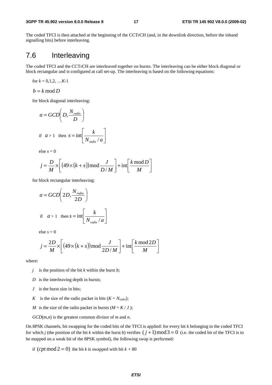The coded TFCI is then attached at the beginning of the CCTrCH (and, in the downlink direction, before the inband signalling bits) before interleaving.

### 7.6 Interleaving

The coded TFCI and the CCTrCH are interleaved together on bursts. The interleaving can be either block diagonal or block rectangular and is configured at call set-up. The interleaving is based on the following equations:

for 
$$
k = 0,1,2, \ldots K-1
$$

$$
b = k \bmod D
$$

for block diagonal interleaving:

$$
a = GCD\left(D, \frac{N_{radio}}{D}\right)
$$
  
if  $a > 1$  then  $s = \text{int}\left[\frac{k}{N_{radio} / a}\right]$ 

else  $s = 0$ 

$$
j = \frac{D}{M} \times \left[ \left( 49 \times (k+s) \right) \mod \frac{J}{D/M} \right] + \text{int} \left[ \frac{k \mod D}{M} \right]
$$

for block rectangular interleaving:

$$
a = GCD\left(2D, \frac{N_{radio}}{2D}\right)
$$
  
if  $a > 1$  then  $s = \text{int}\left[\frac{k}{N_{radio}/a}\right]$ 

else  $s = 0$ 

$$
j = \frac{2D}{M} \times \left[ \left( 49 \times (k+s) \right) \mod \frac{J}{2D/M} \right] + \text{int} \left[ \frac{k \mod 2D}{M} \right]
$$

where:

- *j* is the position of the bit *k* within the burst *b*;
- *D* is the interleaving depth in bursts;
- *J* is the burst size in bits;
- *K* is the size of the radio packet in bits  $(K = N_{radio})$ ;
- *M* is the size of the radio packet in bursts  $(M = K / J)$ ;

*GCD*(*m*,*n*) is the greatest common divisor of *m* and *n*.

On 8PSK channels, bit swapping for the coded bits of the TFCI is applied: for every bit *k* belonging to the coded TFCI for which *j* (the position of the bit *k* within the burst *b*) verifies  $(j + 1) \text{ mod } 3 = 0$  (i.e. the coded bit of the TFCI is to be mapped on a weak bit of the 8PSK symbol), the following swap is performed:

if  $(\text{cpt mod } 2 = 0)$  the bit *k* is swapped with bit  $k + 80$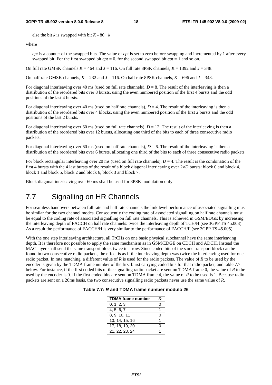#### **3GPP TR 45.902 version 8.0.0 Release 8 18 ETSI TR 145 902 V8.0.0 (2009-02)**

else the bit *k* is swapped with bit  $K - 80 + k$ 

#### where

*cpt* is a counter of the swapped bits. The value of *cpt* is set to zero before swapping and incremented by 1 after every swapped bit. For the first swapped bit  $cpt = 0$ , for the second swapped bit  $cpt = 1$  and so on.

On full rate GMSK channels  $K = 464$  and  $J = 116$ . On full rate 8PSK channels,  $K = 1392$  and  $J = 348$ .

On half rate GMSK channels,  $K = 232$  and  $J = 116$ . On half rate 8PSK channels,  $K = 696$  and  $J = 348$ .

For diagonal interleaving over 40 ms (used on full rate channels),  $D = 8$ . The result of the interleaving is then a distribution of the reordered bits over 8 bursts, using the even numbered position of the first 4 bursts and the odd positions of the last 4 bursts.

For diagonal interleaving over 40 ms (used on half rate channels),  $D = 4$ . The result of the interleaving is then a distribution of the reordered bits over 4 blocks, using the even numbered position of the first 2 bursts and the odd positions of the last 2 bursts.

For diagonal interleaving over 60 ms (used on full rate channels),  $D = 12$ . The result of the interleaving is then a distribution of the reordered bits over 12 bursts, allocating one third of the bits to each of three consecutive radio packets.

For diagonal interleaving over 60 ms (used on half rate channels),  $D = 6$ . The result of the interleaving is then a distribution of the reordered bits over 6 bursts, allocating one third of the bits to each of three consecutive radio packets.

For block rectangular interleaving over 20 ms (used on full rate channels),  $D = 4$ . The result is the combination of the first 4 bursts with the 4 last bursts of the result of a block diagonal interleaving over 2×*D* bursts: block 0 and block 4, block 1 and block 5, block 2 and block 6, block 3 and block 7.

Block diagonal interleaving over 60 ms shall be used for 8PSK modulation only.

## 7.7 Signalling on HR Channels

For seamless handovers between full rate and half rate channels the link level performance of associated signalling must be similar for the two channel modes. Consequently the coding rate of associated signalling on half rate channels must be equal to the coding rate of associated signalling on full rate channels. This is achieved in GSM/EDGE by increasing the interleaving depth of FACCH on half rate channels: twice the interleaving depth of TCH/H (see 3GPP TS 45.003). As a result the performance of FACCH/H is very similar to the performance of FACCH/F (see 3GPP TS 45.005).

With the one step interleaving architecture, all TrCHs on one basic physical subchannel have the same interleaving depth. It is therefore not possible to apply the same mechanism as in GSM/EDGE on CDCH and ADCH. Instead the MAC layer shall send the same transport block twice in a row. Since coded bits of the same transport block can be found in two consecutive radio packets, the effect is as if the interleaving depth was twice the interleaving used for one radio packet. In rate matching, a different value of *R* is used for the radio packets. The value of *R* to be used by the encoder is given by the TDMA frame number of the first burst carrying coded bits for that radio packet, and table 7.7 below. For instance, if the first coded bits of the signalling radio packet are sent on TDMA frame 0, the value of *R* to be used by the encoder is 0. If the first coded bits are sent on TDMA frame 4, the value of *R* to be used is 1. Because radio packets are sent on a 20ms basis, the two consecutive signalling radio packets never use the same value of *R*.

| <b>TDMA frame number</b> | R |
|--------------------------|---|
| 0, 1, 2, 3               | Ω |
| 4, 5, 6, 7               |   |
| 8, 9, 10, 11             | O |
| 13, 14, 15, 16           |   |
| 17, 18, 19, 20           | በ |
| 21, 22, 23, 24           |   |

|  |  | Table 7.7: R and TDMA frame number modulo 26 |  |
|--|--|----------------------------------------------|--|
|--|--|----------------------------------------------|--|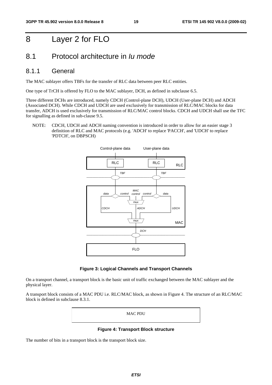## 8 Layer 2 for FLO

### 8.1 Protocol architecture in *Iu mode*

### 8.1.1 General

The MAC sublayer offers TBFs for the transfer of RLC data between peer RLC entities.

One type of TrCH is offered by FLO to the MAC sublayer, DCH, as defined in subclause 6.5.

Three different DCHs are introduced, namely CDCH (Control-plane DCH), UDCH (User-plane DCH) and ADCH (Associated DCH). While CDCH and UDCH are used exclusively for transmission of RLC/MAC blocks for data transfer, ADCH is used exclusively for transmission of RLC/MAC control blocks. CDCH and UDCH shall use the TFC for signalling as defined in sub-clause 9.5.

#### NOTE: CDCH, UDCH and ADCH naming convention is introduced in order to allow for an easier stage 3 definition of RLC and MAC protocols (e.g. 'ADCH' to replace 'PACCH', and 'UDCH' to replace 'PDTCH', on DBPSCH)



#### **Figure 3: Logical Channels and Transport Channels**

On a transport channel, a transport block is the basic unit of traffic exchanged between the MAC sublayer and the physical layer.

A transport block consists of a MAC PDU i.e. RLC/MAC block, as shown in Figure 4. The structure of an RLC/MAC block is defined in subclause 8.3.1.

MAC PDU

**Figure 4: Transport Block structure** 

The number of bits in a transport block is the transport block size.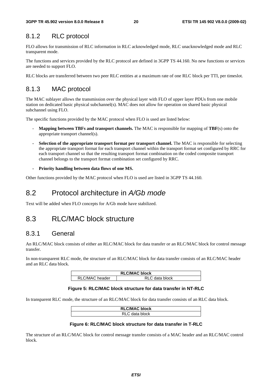### 8.1.2 RLC protocol

FLO allows for transmission of RLC information in RLC acknowledged mode, RLC unacknowledged mode and RLC transparent mode.

The functions and services provided by the RLC protocol are defined in 3GPP TS 44.160. No new functions or services are needed to support FLO.

RLC blocks are transferred between two peer RLC entities at a maximum rate of one RLC block per TTI, per timeslot.

### 8.1.3 MAC protocol

The MAC sublayer allows the transmission over the physical layer with FLO of upper layer PDUs from one mobile station on dedicated basic physical subchannel(s). MAC does not allow for operation on shared basic physical subchannel using FLO.

The specific functions provided by the MAC protocol when FLO is used are listed below:

- **Mapping between TBFs and transport channels.** The MAC is responsible for mapping of **TBF**(s) onto the appropriate transport channel(s).
- **- Selection of the appropriate transport format per transport channel.** The MAC is responsible for selecting the appropriate transport format for each transport channel within the transport format set configured by RRC for each transport channel so that the resulting transport format combination on the coded composite transport channel belongs to the transport format combination set configured by RRC.
- **Priority handling between data flows of one MS.**

Other functions provided by the MAC protocol when FLO is used are listed in 3GPP TS 44.160.

### 8.2 Protocol architecture in *A/Gb mode*

Text will be added when FLO concepts for A/Gb mode have stabilized.

## 8.3 RLC/MAC block structure

### 8.3.1 General

An RLC/MAC block consists of either an RLC/MAC block for data transfer or an RLC/MAC block for control message transfer.

In non-transparent RLC mode, the structure of an RLC/MAC block for data transfer consists of an RLC/MAC header and an RLC data block.

| <b>RLC/MAC block</b> |                |  |  |  |  |
|----------------------|----------------|--|--|--|--|
| RLC/MAC header       | RLC data block |  |  |  |  |

#### **Figure 5: RLC/MAC block structure for data transfer in NT-RLC**

In transparent RLC mode, the structure of an RLC/MAC block for data transfer consists of an RLC data block.

| <b>RLC/MAC block</b> |  |
|----------------------|--|
| data block           |  |

#### **Figure 6: RLC/MAC block structure for data transfer in T-RLC**

The structure of an RLC/MAC block for control message transfer consists of a MAC header and an RLC/MAC control block.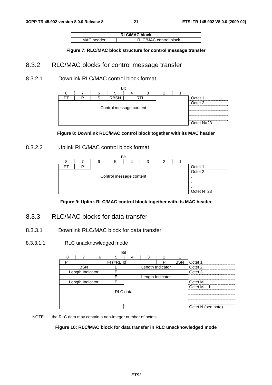| <b>RLC/MAC block</b> |                       |  |  |  |  |  |
|----------------------|-----------------------|--|--|--|--|--|
| MAC header           | RLC/MAC control block |  |  |  |  |  |

**Figure 7: RLC/MAC block structure for control message transfer** 

### 8.3.2 RLC/MAC blocks for control message transfer

### 8.3.2.1 Downlink RLC/MAC control block format





### 8.3.2.2 Uplink RLC/MAC control block format





### 8.3.3 RLC/MAC blocks for data transfer

#### 8.3.3.1 Downlink RLC/MAC block for data transfer

8.3.3.1.1 RLC unacknowledged mode

|                  |                   |  |   | Bit |                  |                    |            |                    |         |
|------------------|-------------------|--|---|-----|------------------|--------------------|------------|--------------------|---------|
| 8                |                   |  | 6 | 5   |                  | 3                  | ົ          |                    |         |
| PТ               | TFI (=RB Id)<br>P |  |   |     |                  |                    | <b>BSN</b> | Octet 1            |         |
|                  | <b>BSN</b>        |  |   |     |                  | Length Indicator   |            |                    | Octet 2 |
| Length Indicator |                   |  |   |     |                  |                    |            | Octet <sub>3</sub> |         |
|                  |                   |  |   |     | Length Indicator |                    |            |                    |         |
| Length Indicator |                   |  |   |     |                  |                    |            | Octet M            |         |
|                  |                   |  |   |     |                  | Octet $M + 1$      |            |                    |         |
| RLC data         |                   |  |   |     |                  |                    |            |                    |         |
|                  |                   |  |   |     |                  |                    |            |                    |         |
|                  |                   |  |   |     |                  |                    |            |                    |         |
|                  |                   |  |   |     |                  | Octet N (see note) |            |                    |         |

NOTE: the RLC data may contain a non-integer number of octets.

#### **Figure 10: RLC/MAC block for data transfer in RLC unacknowledged mode**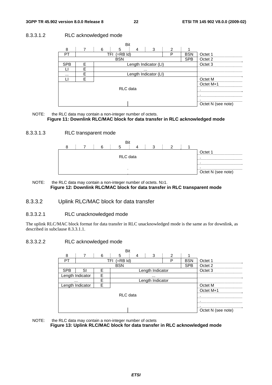#### 8.3.3.1.2 RLC acknowledged mode





#### 8.3.3.1.3 RLC transparent mode



NOTE: the RLC data may contain a non-integer number of octets. N≥1. **Figure 12: Downlink RLC/MAC block for data transfer in RLC transparent mode** 

#### 8.3.3.2 Uplink RLC/MAC block for data transfer

#### 8.3.3.2.1 RLC unacknowledged mode

The uplink RLC/MAC block format for data transfer in RLC unacknowledged mode is the same as for downlink, as described in subclause 8.3.3.1.1.

#### 8.3.3.2.2 RLC acknowledged mode

|                       |                  |   | Rit             |                  |           |            |                    |
|-----------------------|------------------|---|-----------------|------------------|-----------|------------|--------------------|
| 8                     |                  | 6 | 5<br>4          | 3                | 2         |            |                    |
| PТ                    |                  |   | TFI<br>(=RB Id) |                  | P         | <b>BSN</b> | Octet 1            |
|                       |                  |   | <b>BSN</b>      |                  |           | <b>SPB</b> | Octet <sub>2</sub> |
| <b>SPB</b>            | SI.              | F |                 | Length Indicator |           |            | Octet 3            |
|                       | Length Indicator | F |                 |                  |           |            |                    |
| F<br>                 |                  |   |                 | Length Indicator |           |            |                    |
| Length Indicator<br>F |                  |   |                 |                  |           | Octet M    |                    |
|                       |                  |   |                 |                  | Octet M+1 |            |                    |
| RLC data              |                  |   |                 |                  |           |            |                    |
|                       |                  |   |                 |                  |           |            |                    |
|                       |                  |   |                 |                  |           |            |                    |
|                       |                  |   |                 |                  |           |            | Octet N (see note) |

#### NOTE: the RLC data may contain a non-integer number of octets **Figure 13: Uplink RLC/MAC block for data transfer in RLC acknowledged mode**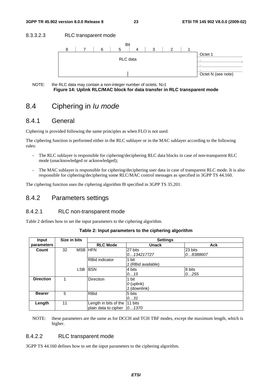#### 8.3.3.2.3 RLC transparent mode





### 8.4 Ciphering in *Iu mode*

#### 8.4.1 General

Ciphering is provided following the same principles as when FLO is not used.

The ciphering function is performed either in the RLC sublayer or in the MAC sublayer according to the following rules:

- The RLC sublayer is responsible for ciphering/deciphering RLC data blocks in case of non-transparent RLC mode (unacknowledged or acknowledged);
- The MAC sublayer is responsible for ciphering/deciphering user data in case of transparent RLC mode. It is also responsible for ciphering/deciphering some RLC/MAC control messages as specified in 3GPP TS 44.160.

The ciphering function uses the ciphering algorithm f8 specified in 3GPP TS 35.201.

### 8.4.2 Parameters settings

#### 8.4.2.1 RLC non-transparent mode

Table 2 defines how to set the input parameters to the ciphering algorithm.

| Input            | Size in bits |            |                                  | <b>Settings</b>    |            |
|------------------|--------------|------------|----------------------------------|--------------------|------------|
| parameters       |              |            | <b>RLC Mode</b>                  | <b>Unack</b>       | <b>Ack</b> |
| Count            | 32           | <b>MSB</b> | <b>HFN</b>                       | 27 bits            | 23 bits    |
|                  |              |            |                                  | 0134217727         | 08388607   |
|                  |              |            | <b>RBid indicator</b>            | 1 bit              |            |
|                  |              |            |                                  | 1 (RBid available) |            |
|                  |              | <b>LSB</b> | <b>BSN</b>                       | 4 bits             | 8 bits     |
|                  |              |            |                                  | 0.15               | 0255       |
| <b>Direction</b> |              |            | Direction                        | 1 bit              |            |
|                  |              |            |                                  | $O$ (uplink)       |            |
|                  |              |            |                                  | 1 (downlink)       |            |
| <b>Bearer</b>    | 5            |            | <b>RBid</b>                      | 5 bits             |            |
|                  |              |            |                                  | 031                |            |
| Length           | 11           |            | Length in bits of the $ 11$ bits |                    |            |
|                  |              |            | plain data to cipher             | [01370]            |            |

#### **Table 2: Input parameters to the ciphering algorithm**

NOTE: these parameters are the same as for DCCH and TCH TBF modes, except the maximum length, which is higher.

#### 8.4.2.2 RLC transparent mode

3GPP TS 44.160 defines how to set the input parameters to the ciphering algorithm.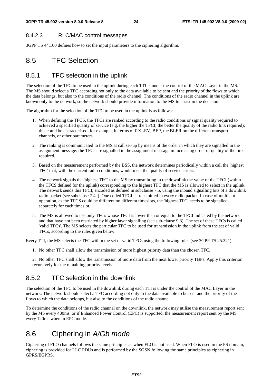### 8.4.2.3 RLC/MAC control messages

3GPP TS 44.160 defines how to set the input parameters to the ciphering algorithm.

## 8.5 TFC Selection

### 8.5.1 TFC selection in the uplink

The selection of the TFC to be used in the uplink during each TTI is under the control of the MAC Layer in the MS. The MS should select a TFC according not only to the data available to be sent and the priority of the flows to which the data belongs, but also to the conditions of the radio channel. The conditions of the radio channel in the uplink are known only to the network, so the network should provide information to the MS to assist in the decision.

The algorithm for the selection of the TFC to be used in the uplink is as follows:

- 1. When defining the TFCS, the TFCs are ranked according to the radio conditions or signal quality required to achieved a specified quality of service (e.g. the higher the TFCI, the better the quality of the radio link required); this could be characterised, for example, in terms of RXLEV, BEP, the BLER on the different transport channels, or other parameters.
- 2. The ranking is communicated to the MS at call set-up by means of the order in which they are signalled in the assignment message: the TFCs are signalled in the assignment message in increasing order of quality of the link required.
- 3. Based on the measurement performed by the BSS, the network determines periodically within a call the 'highest TFC' that, with the current radio conditions, would meet the quality of service criteria.
- 4. The network signals the 'highest TFC' to the MS by transmitting in the downlink the value of the TFCI (within the TFCS defined for the uplink) corresponding to the highest TFC that the MS is allowed to select in the uplink. The network sends this TFCI, encoded as defined in subclause 7.5, using the inband signalling bits of a downlink radio packet (see subclause 7.4a). One coded TFCI is transmitted in every radio packet. In case of multislot operation, as the TFCS could be different on different timeslots, the 'highest TFC' needs to be signalled separately for each timeslot.
- 5. The MS is allowed to use only TFCs whose TFCI is lower than or equal to the TFCI indicated by the network and that have not been restricted by higher layer signalling (see sub-clause 9.3). The set of these TFCs is called 'valid TFCs'. The MS selects the particular TFC to be used for transmission in the uplink from the set of valid TFCs, according to the rules given below.

Every TTI, the MS selects the TFC within the set of valid TFCs using the following rules (see 3GPP TS 25.321):

1. No other TFC shall allow the transmission of more highest priority data than the chosen TFC.

2. No other TFC shall allow the transmission of more data from the next lower priority TBFs. Apply this criterion recursively for the remaining priority levels.

## 8.5.2 TFC selection in the downlink

The selection of the TFC to be used in the downlink during each TTI is under the control of the MAC Layer in the network. The network should select a TFC according not only to the data available to be sent and the priority of the flows to which the data belongs, but also to the conditions of the radio channel.

To determine the conditions of the radio channel on the downlink, the network may utilise the measurement report sent by the MS every 480ms, or if Enhanced Power Control (EPC) is supported, the measurement report sent by the MS every 120ms when in EPC mode.

## 8.6 Ciphering in *A/Gb mode*

Ciphering of FLO channels follows the same principles as when FLO is not used. When FLO is used in the PS domain, ciphering is provided for LLC PDUs and is performed by the SGSN following the same principles as ciphering in GPRS/EGPRS.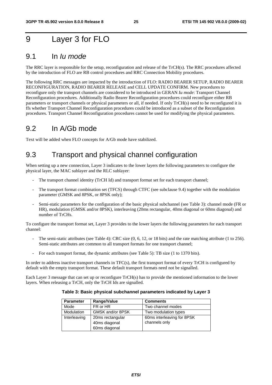## 9 Layer 3 for FLO

### 9.1 In *Iu mode*

The RRC layer is responsible for the setup, reconfiguration and release of the TrCH(s). The RRC procedures affected by the introduction of FLO are RB control procedures and RRC Connection Mobility procedures.

The following RRC messages are impacted by the introduction of FLO: RADIO BEARER SETUP, RADIO BEARER RECONFIGURATION, RADIO BEARER RELEASE and CELL UPDATE CONFIRM. New procedures to reconfigure only the transport channels are considered to be introduced in GERAN *Iu mode*: Transport Channel Reconfiguration procedures. Additionally Radio Bearer Reconfiguration procedures could reconfigure either RB parameters or transport channels or physical parameters or all, if needed. If only TrCH(s) need to be reconfigured it is ffs whether Transport Channel Reconfiguration procedures could be introduced as a subset of the Reconfiguration procedures. Transport Channel Reconfiguration procedures cannot be used for modifying the physical parameters.

## 9.2 In A/Gb mode

Text will be added when FLO concepts for A/Gb mode have stabilized.

## 9.3 Transport and physical channel configuration

When setting up a new connection, Layer 3 indicates to the lower layers the following parameters to configure the physical layer, the MAC sublayer and the RLC sublayer:

- The transport channel identity (TrCH Id) and transport format set for each transport channel;
- The transport format combination set (TFCS) through CTFC (see subclause 9.4) together with the modulation parameter (GMSK and 8PSK, or 8PSK only);
- Semi-static parameters for the configuration of the basic physical subchannel (see Table 3): channel mode (FR or HR), modulation (GMSK and/or 8PSK), interleaving (20ms rectangular, 40ms diagonal or 60ms diagonal) and number of TrCHs.

To configure the transport format set, Layer 3 provides to the lower layers the following parameters for each transport channel:

- The semi-static attributes (see Table 4): CRC size (0, 6, 12, or 18 bits) and the rate matching attribute (1 to 256). Semi-static attributes are common to all transport formats for one transport channel;
- For each transport format, the dynamic attributes (see Table 5): TB size (1 to 1370 bits).

In order to address inactive transport channels in TFC(s), the first transport format of every TrCH is configured by default with the empty transport format. These default transport formats need not be signalled.

Each Layer 3 message that can set up or reconfigure TrCH(s) has to provide the mentioned information to the lower layers. When releasing a TrCH, only the TrCH Ids are signalled.

#### **Table 3: Basic physical subchannel parameters indicated by Layer 3**

| <b>Parameter</b> | Range/Value      | <b>Comments</b>            |
|------------------|------------------|----------------------------|
| Mode             | FR or HR         | Two channel modes          |
| Modulation       | GMSK and/or 8PSK | Two modulation types       |
| Interleaving     | 20ms rectangular | 60ms interleaving for 8PSK |
|                  | 40ms diagonal    | channels only              |
|                  | 60ms diagonal    |                            |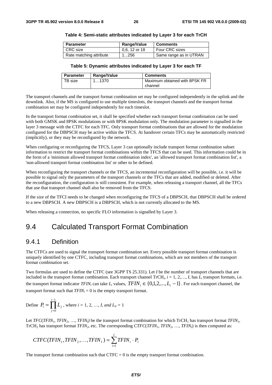| <b>Parameter</b>        | Range/Value   | <b>Comments</b>        |
|-------------------------|---------------|------------------------|
| CRC size                | 0.6, 12 or 18 | Four CRC sizes         |
| Rate matching attribute | 1256          | Same range as in UTRAN |

#### **Table 4: Semi-static attributes indicated by Layer 3 for each TrCH**

#### **Table 5: Dynamic attributes indicated by Layer 3 for each TF**

| <b>Parameter</b> | Range/Value | <b>Comments</b>               |
|------------------|-------------|-------------------------------|
| TB size          | 1…1370      | Maximum obtained with 8PSK FR |
|                  |             | channel                       |

The transport channels and the transport format combination set may be configured independently in the uplink and the downlink. Also, if the MS is configured to use multiple timeslots, the transport channels and the transport format combination set may be configured independently for each timeslot.

In the transport format combination set, it shall be specified whether each transport format combination can be used with both GMSK and 8PSK modulations or with 8PSK modulation only. The modulation parameter is signalled in the layer 3 message with the CTFC for each TFC. Only transport format combinations that are allowed for the modulation configured for the DBPSCH may be active within the TFCS. At handover certain TFCs may be automatically restricted (implicitly), or they may be reconfigured by the network.

When configuring or reconfiguring the TFCS, Layer 3 can optionally include transport format combination subset information to restrict the transport format combinations within the TFCS that can be used. This information could be in the form of a 'minimum allowed transport format combination index', an 'allowed transport format combination list', a 'non-allowed transport format combination list' or other to be defined.

When reconfiguring the transport channels or the TFCS, an incremental reconfiguration will be possible, i.e. it will be possible to signal only the parameters of the transport channels or the TFCs that are added, modified or deleted. After the reconfiguration, the configuration is still consistent. For example, when releasing a transport channel, all the TFCs that use that transport channel shall also be removed from the TFCS.

If the size of the TFCI needs to be changed when reconfiguring the TFCS of a DBPSCH, that DBPSCH shall be ordered to a new DBPSCH. A new DBPSCH is a DBPSCH, which is not currently allocated to the MS.

When releasing a connection, no specific FLO information is signalled by Layer 3.

### 9.4 Calculated Transport Format Combination

### 9.4.1 Definition

The CTFCs are used to signal the transport format combination set. Every possible transport format combination is uniquely identified by one CTFC, including transport format combinations, which are not members of the transport format combination set.

Two formulas are used to define the CTFC (see 3GPP TS 25.331). Let *I* be the number of transport channels that are included in the transport format combination. Each transport channel TrCH*i*, *i* = 1, 2,…, *I*, has *Li* transport formats, i.e. the transport format indicator *TFIN<sub>i</sub>* can take  $L_i$  values,  $TFIN_i \in \{0,1,2,...,L_i-1\}$ . For each transport channel, the transport format such that  $TFIN_i = 0$  is the empty transport format.

Define 
$$
P_i = \prod_{j=0}^{i-1} L_j
$$
, where  $i = 1, 2, ..., I$ , and  $L_0 = 1$ 

Let  $TFC(TFIN_1, TFIN_2, ..., TFIN_l)$  be the transport format combination for which  $TrCH_1$  has transport format  $TFIN_1$ , TrCH2 has transport format *TFIN2*, etc. The corresponding *CTFC*(*TFIN1*, *TFIN2*, …, *TFINI*) is then computed as:

$$
CTFC(TFIN_1,TFIN_2, \ldots,TFIN_I) = \sum_{i=1}^{I} TFIN_i \cdot P_i
$$

The transport format combination such that  $CTFC = 0$  is the empty transport format combination.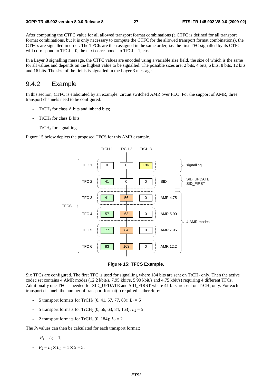After computing the CTFC value for all allowed transport format combinations (a CTFC is defined for all transport format combinations, but it is only necessary to compute the CTFC for the allowed transport format combinations), the CTFCs are signalled in order. The TFCIs are then assigned in the same order, i.e. the first TFC signalled by its CTFC will correspond to  $TFCI = 0$ , the next corresponds to  $TFCI = 1$ , etc.

In a Layer 3 signalling message, the CTFC values are encoded using a variable size field, the size of which is the same for all values and depends on the highest value to be signalled. The possible sizes are: 2 bits, 4 bits, 6 bits, 8 bits, 12 bits and 16 bits. The size of the fields is signalled in the Layer 3 message.

### 9.4.2 Example

In this section, CTFC is elaborated by an example: circuit switched AMR over FLO. For the support of AMR, three transport channels need to be configured:

- $TrCH<sub>1</sub>$  for class A bits and inband bits;
- TrCH<sub>2</sub> for class B bits;
- $TrCH<sub>3</sub>$  for signalling.

Figure 15 below depicts the proposed TFCS for this AMR example.





Six TFCs are configured. The first TFC is used for signalling where 184 bits are sent on  $TrCH_3$  only. Then the active codec set contains 4 AMR modes (12.2 kbit/s, 7.95 kbit/s, 5.90 kbit/s and 4.75 kbit/s) requiring 4 different TFCs. Additionally one TFC is needed for SID\_UPDATE and SID\_FIRST where 41 bits are sent on TrCH<sub>1</sub> only. For each transport channel, the number of transport format(s) required is therefore:

- 5 transport formats for  $TrCH_1 (0, 41, 57, 77, 83); L_1 = 5$
- 5 transport formats for  $TrCH_2 (0, 56, 63, 84, 163); L_2 = 5$
- 2 transport formats for  $TrCH_3 (0, 184); L_3 = 2$

The *P<sub>i</sub>* values can then be calculated for each transport format:

- $P_1 = L_0 = 1$ ;
- $P_2 = L_0 \times L_1 = 1 \times 5 = 5;$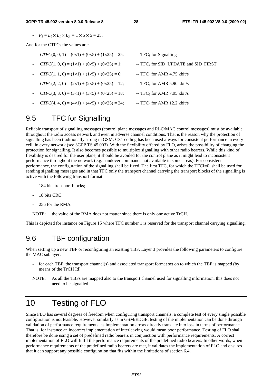-  $P_3 = L_0 \times L_1 \times L_2 = 1 \times 5 \times 5 = 25.$ 

And for the CTFCs the values are:

- $CTFC(0, 0, 1) = (0 \times 1) + (0 \times 5) + (1 \times 25) = 25.$  --TFC<sub>1</sub> for Signalling
- $CTFC(1, 0, 0) = (1 \times 1) + (0 \times 5) + (0 \times 25) = 1;$  -- TFC<sub>2</sub> for SID\_UPDATE and SID\_FIRST
- $CTFC(1, 1, 0) = (1 \times 1) + (1 \times 5) + (0 \times 25) = 6$ ; -- TFC<sub>3</sub> for AMR 4.75 kbit/s
- $CTFC(2, 2, 0) = (2 \times 1) + (2 \times 5) + (0 \times 25) = 12$ ; --TFC<sub>4</sub> for AMR 5.90 kbit/s
- $CTFC(3, 3, 0) = (3\times1) + (3\times5) + (0\times25) = 18$ ; --TFC<sub>5</sub> for AMR 7.95 kbit/s
- 
- 
- 
- 
- 
- 
- $CTFC(4, 4, 0) = (4 \times 1) + (4 \times 5) + (0 \times 25) = 24$ ; --TFC<sub>6</sub> for AMR 12.2 kbit/s

## 9.5 TFC for Signalling

Reliable transport of signalling messages (control plane messages and RLC/MAC control messages) must be available throughout the radio access network and even in adverse channel conditions. That is the reason why the protection of signalling has been traditionally strong in GSM: CS1 coding has been used always for consistent performance in every cell, in every network (see 3GPP TS 45.003). With the flexibility offered by FLO, arises the possibility of changing the protection for signalling. It also becomes possible to multiplex signalling with other radio bearers. While this kind of flexibility is desired for the user plane, it should be avoided for the control plane as it might lead to inconsistent performance throughout the network (e.g. handover commands not available in some areas). For consistent performance, the configuration of the signalling shall be fixed. The first TFC, for which the TFCI=0, shall be used for sending signalling messages and in that TFC only the transport channel carrying the transport blocks of the signalling is active with the following transport format:

- 184 bits transport blocks;
- 18 bits CRC;
- 256 for the RMA.

NOTE: the value of the RMA does not matter since there is only one active TrCH.

This is depicted for instance on Figure 15 where TFC number 1 is reserved for the transport channel carrying signalling.

## 9.6 TBF configuration

When setting up a new TBF or reconfiguring an existing TBF, Layer 3 provides the following parameters to configure the MAC sublayer:

- for each TBF, the transport channel(s) and associated transport format set on to which the TBF is mapped (by means of the TrCH Id).
- NOTE: As all the TBFs are mapped also to the transport channel used for signalling information, this does not need to be signalled.

## 10 Testing of FLO

Since FLO has several degrees of freedom when configuring transport channels, a complete test of every single possible configuration is not feasible. However similarly as in GSM/EDGE, testing of the implementation can be done through validation of performance requirements, as implementation errors directly translate into loss in terms of performance. That is, for instance an incorrect implementation of interleaving would mean poor performance. Testing of FLO shall therefore be done using a set of predefined radio bearers in conjunction with performance requirements. A correct implementation of FLO will fulfil the performance requirements of the predefined radio bearers. In other words, when performance requirements of the predefined radio bearers are met, it validates the implementation of FLO and ensures that it can support any possible configuration that fits within the limitations of section 6.4.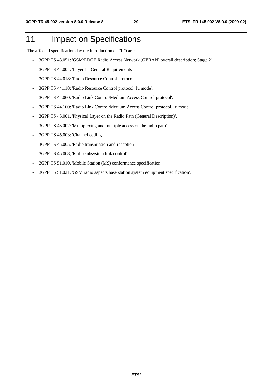## 11 Impact on Specifications

The affected specifications by the introduction of FLO are:

- 3GPP TS 43.051: 'GSM/EDGE Radio Access Network (GERAN) overall description; Stage 2'.
- 3GPP TS 44.004: 'Layer 1 General Requirements'.
- 3GPP TS 44.018: 'Radio Resource Control protocol'.
- 3GPP TS 44.118: 'Radio Resource Control protocol, Iu mode'.
- 3GPP TS 44.060: 'Radio Link Control/Medium Access Control protocol'.
- 3GPP TS 44.160: 'Radio Link Control/Medium Access Control protocol, Iu mode'.
- 3GPP TS 45.001, 'Physical Layer on the Radio Path (General Description)'.
- 3GPP TS 45.002: 'Multiplexing and multiple access on the radio path'.
- 3GPP TS 45.003: 'Channel coding'.
- 3GPP TS 45.005, 'Radio transmission and reception'.
- 3GPP TS 45.008, 'Radio subsystem link control'.
- 3GPP TS 51.010, 'Mobile Station (MS) conformance specification'
- 3GPP TS 51.021, 'GSM radio aspects base station system equipment specification'.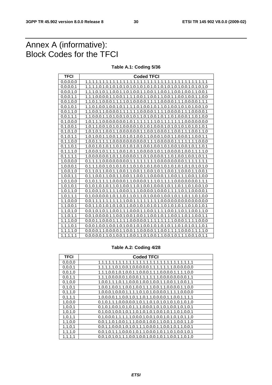## Annex A (informative): Block Codes for the TFCI

**Table A.1: Coding 5/36** 

| <b>TFCI</b>   | <b>Coded TFCI</b>                                                                                             |
|---------------|---------------------------------------------------------------------------------------------------------------|
| 0,0,0,0,0     |                                                                                                               |
| 0,0,0,0,1     | 1, 1, 1, 1, 0, 1, 0, 1, 0, 1, 0, 1, 0, 1, 0, 1, 0, 1, 0, 1, 0, 1, 0, 1, 0, 1, 0, 1, 0, 1, 0, 1, 0, 1, 0       |
| 0.0.0.1.0     | 1, 1, 1, 0, 1, 0, 1, 1, 0, 0, 1, 1, 0, 1, 0, 0, 1, 1, 0, 0, 1, 1, 0, 0, 1, 1, 0, 0, 1, 1, 0, 0, 1, 1, 0, 0, 1 |
| 0,0,0,1,1     | $1,1,1,0,0,0,0,1,1,0,0,1,1,1,1,0,0,1,1,0,0,1,1,0,0,1,1,0,0,1,1,0,0,1,1,0,0$                                   |
| 0.0.1.0.0     | 1,1,0,1,1,0,0,0,1,1,1,1,0,1,0,0,0,0,1,1,1,0,0,0,0,1,1,1,0,0,0,0,1,1,1                                         |
| 0,0,1,0,1     | 1, 1, 0, 1, 0, 0, 1, 0, 0, 1, 0, 1, 1, 1, 1, 0, 1, 0, 0, 1, 0, 1, 0, 1, 0, 0, 1, 0, 1, 0, 0, 1, 0, 1, 0, 1, 0 |
| 0,0,1,1,0     |                                                                                                               |
| 0,0,1,1,1     |                                                                                                               |
| 0,1,0,0,0     |                                                                                                               |
| 0.1, 0.0, 1   |                                                                                                               |
| 0, 1, 0, 1, 0 | 1,0,1,0,1,1,0,0,1,1,0,0,0,0,0,0,1,1,0,0,1,0,0,0,1,1,0,0,1,1,1,0,0,1,1,0                                       |
| 0, 1, 0, 1, 1 | 1,0,1,0,0,1,1,0,0,1,1,0,1,0,1,0,0,1,1,0,0,0,1,0,0,1,1,0,0,0,1,1,0,0,1,1                                       |
| 0,1,1,0,0     | 1,0,0,1,1,1,1,1,0,0,0,0,0,0,0,0,0,1,1,1,0,0,0,0,0,1,1,1,1,1,1,0,0,0,0,1,1,1,0,0,0                             |
| 0, 1, 1, 0, 1 | 1,0,0,1,0,1,0,1,1,0,1,0,1,0,1,0,1,0,0,1,0,0,1,0,0,1,0,0,1,0,1,1,0,1                                           |
| 0, 1, 1, 1, 0 | 1,0,0,0,1,0,1,1,1,0,0,1,0,1,1,0,0,0,0,1,0,1,1,0,0,0,0,1,0,0,1,1,1,1,0                                         |
| 0, 1, 1, 1, 1 |                                                                                                               |
| 1,0,0,0,0     | 0,1,1,1,1,0,0,0,0,0,0,0,1,1,1,1,1,1,1,0,0,0,0,0,0,0,0,1,1,1,1,1,1,1                                           |
| 1,0,0,0,1     | 0,1,1,1,0,0,1,0,1,0,1,0,1,1,0,1,0,1,0,0,1,0,1,0,1,0,1,0,1,0,1,0,1,0                                           |
| 1,0,0,1,0     | 0,1,1,0,1,1,0,0,1,1,0,0,1,1,0,0,1,1,0,0,1,1,0,0,1,1,0,0,0,1,1,0,0,1                                           |
| 1,0,0,1,1     | $0,1,1,0,0,1,1,0,0,1,1,0,0,1,1,0,0,1,1,0,0,0,0,1,1,0,0,1,1,0,0,1,1,0,0$                                       |
| 1,0,1,0,0     | $0,1,0,1,1,1,1,1,0,0,0,0,1,1,0,0,0,0,1,1,1,0,1,1,1,0,0,0,0,0,0,0,1,1,1$                                       |
| 1,0,1,0,1     | 0,1,0,1,0,1,0,1,1,0,1,0,0,1,1,0,1,0,0,1,0,0,1,0,1,1,0,1,1,0,1,0,0,1,0                                         |
| 1,0,1,1,0     |                                                                                                               |
| 1, 0, 1, 1, 1 | 0,1,0,0,0,0,1,0,1,1,0,1,1,0,1,1,0,1,0,0,0,1,0,0,1,0,1,1,0,1,1,0,1,0,0                                         |
| 1,1,0,0,0     |                                                                                                               |
| 1, 1, 0, 0, 1 |                                                                                                               |
| 1, 1, 0, 1, 0 | 0.0.1.0.1.1.0.0.1.1.1.0.0.0.1.1.0.0.1.1.1.1.0.0.1.1.0.1.1.0.0.1.1.0.0.1.1.0                                   |
| 1, 1, 0, 1, 1 | $0,0,1,0,0,0,0,1,1,0,0,1,0,0,1,0,0,1,1,0,0,1,1,0,0,1,1,0,1,1,0,0,1,1$                                         |
| 1, 1, 1, 0, 0 | $0,0,0,1,1,0,0,0,1,1,1,1,1,0,0,0,0,0,1,1,1,1,1,1,1,0,0,0,1,1,1,1,0,0,0$                                       |
| 1, 1, 1, 0, 1 |                                                                                                               |
| 1, 1, 1, 1, 0 |                                                                                                               |
| 1, 1, 1, 1, 1 | 0,0,0,0,1,1,0,1,0,0,1,1,0,0,1,1,0,1,0,0,1,1,0,0,1,0,1,1,1,0,0,1,0,1,1                                         |

**Table A.2: Coding 4/28** 

| <b>TFCI</b> | <b>Coded TFCI</b>                                                                  |
|-------------|------------------------------------------------------------------------------------|
| 0,0,0,0     |                                                                                    |
| 0, 0, 0, 1  | 1, 1, 1, 1, 1, 0, 1, 0, 0, 1, 0, 0, 0, 0, 0, 1, 1, 1, 1, 1, 1, 1, 0, 0, 0, 0, 0, 0 |
| 0, 0, 1, 0  | 1,1,1,0,0,1,0,1,0,0,1,1,0,0,0,1,1,1,0,0,0,0,1,1,1,1,0,0                            |
| 0, 0, 1, 1  | 1,1,1,0,0,0,0,0,1,0,0,0,1,1,1,1,1,1,0,0,0,0,0,0,0,0,1,1                            |
| 0, 1, 0, 0  | 1, 0, 0, 1, 1, 1, 0, 1, 1, 0, 0, 0, 1, 0, 0, 1, 0, 0, 1, 1, 0, 0, 1, 1, 0, 0, 1, 1 |
| 0, 1, 0, 1  | 1,0,0,1,0,0,1,1,0,0,1,0,0,1,1,1,0,0,1,1,0,0,0,0,1,1,0,0                            |
| 0, 1, 1, 0  |                                                                                    |
| 0, 1, 1, 1  |                                                                                    |
| 1,0,0,0     |                                                                                    |
| 1,0,0,1     |                                                                                    |
| 1,0,1,0     | 0,1,0,0,1,0,0,1,0,1,1,0,1,0,1,0,1,0,0,1,0,1,1,0,1,0,0,1                            |
| 1,0,1,1     | 0,1,0,0,0,1,1,1,1,1,0,0,0,1,0,0,1,0,0,1,0,1,0,1,0,1,1,0                            |
| 1,1,0,0     | 0,0,1,1,0,1,0,0,1,1,1,0,0,0,1,0,0,1,1,0,0,1,1,0,0,1,1,0                            |
| 1, 1, 0, 1  | 0,0,1,1,0,0,0,1,0,1,0,1,1,1,0,0,0,1,1,0,0,1,0,1,1,0,0,1                            |
| 1, 1, 1, 0  |                                                                                    |
| 1, 1, 1, 1  |                                                                                    |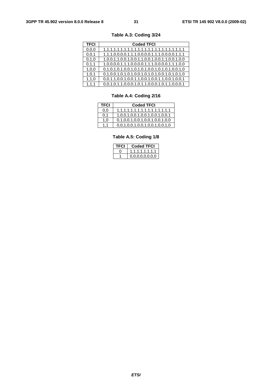| TFCI    | <b>Coded TFCI</b>                                 |
|---------|---------------------------------------------------|
| 0.0.0   |                                                   |
| 0, 0, 1 | 1,1,1,0,0,0,0,1,1,1,0,0,0,0,1,1,1,0,0,0,0,1,1,1   |
| 0, 1, 0 | 1,0,0,1,1,0,0,1,0,0,1,1,0,0,1,0,0,1,1,0,0,1,0,0   |
| 0, 1, 1 | 1,0,0,0,0,1,1,1,0,0,0,0,1,1,1,0,0,0,0,1,1,1,0,0   |
| 1,0,0   |                                                   |
| 1, 0, 1 | $0,1,0,0,1,0,1,0,1,0,0,1,0,1,0,1,0,0,1,0,1,0,1,0$ |
| 1, 1, 0 | 0,0,1,1,0,0,1,0,0,1,1,0,0,1,0,0,1,1,0,0,1,0,0,1   |
| 1, 1, 1 | 0,0,1,0,1,1,0,0,0,1,0,1,1,0,0,0,1,0,1,1,0,0,0,1   |

**Table A.3: Coding 3/24** 

### **Table A.4: Coding 2/16**

| <b>TFCI</b> | <b>Coded TFCI</b>               |
|-------------|---------------------------------|
| 0.0         |                                 |
| 0,1         | 1,0,0,1,0,0,1,0,0,1,0,0,1,0,0,1 |
| 1.0         | 0,1,0,0,1,0,0,1,0,0,1,0,0,1,0,0 |
| 1.1         | 0,0,1,0,0,1,0,0,1,0,0,1,0,0,1,0 |

### **Table A.5: Coding 1/8**

|  | Coded TFCI        |
|--|-------------------|
|  | 1,1,1,1,1,1,1,1,1 |
|  | 0.0.0.0.0.0.0.0   |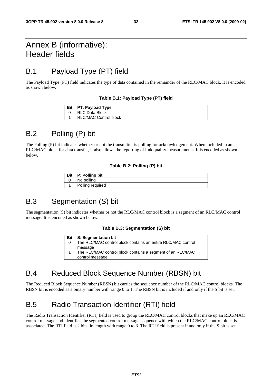## Annex B (informative): Header fields

## B.1 Payload Type (PT) field

The Payload Type (PT) field indicates the type of data contained in the remainder of the RLC/MAC block. It is encoded as shown below.

#### **Table B.1: Payload Type (PT) field**

| Bit   PT: Payload Type       |
|------------------------------|
| <b>RLC Data Block</b>        |
| <b>RLC/MAC Control block</b> |

## B.2 Polling (P) bit

The Polling (P) bit indicates whether or not the transmitter is polling for acknowledgement. When included in an RLC/MAC block for data transfer, it also allows the reporting of link quality measurements. It is encoded as shown below.

#### **Table B.2: Polling (P) bit**

| Bit P: Polling bit |
|--------------------|
| No polling         |
| Polling required   |

## B.3 Segmentation (S) bit

The segmentation (S) bit indicates whether or not the RLC/MAC control block is a segment of an RLC/MAC control message. It is encoded as shown below.

#### **Table B.3: Segmentation (S) bit**

| <b>Bit</b> I | <b>S: Segmentation bit</b>                                   |
|--------------|--------------------------------------------------------------|
|              | The RLC/MAC control block contains an entire RLC/MAC control |
|              | message                                                      |
|              | The RLC/MAC control block contains a segment of an RLC/MAC   |
|              | control message                                              |

## B.4 Reduced Block Sequence Number (RBSN) bit

The Reduced Block Sequence Number (RBSN) bit carries the sequence number of the RLC/MAC control blocks. The RBSN bit is encoded as a binary number with range 0 to 1. The RBSN bit is included if and only if the S bit is set.

## B.5 Radio Transaction Identifier (RTI) field

The Radio Transaction Identifier (RTI) field is used to group the RLC/MAC control blocks that make up an RLC/MAC control message and identifies the segmented control message sequence with which the RLC/MAC control block is associated. The RTI field is 2 bits in length with range 0 to 3. The RTI field is present if and only if the S bit is set.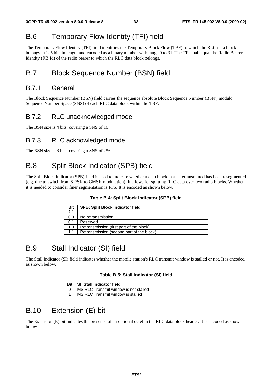## B.6 Temporary Flow Identity (TFI) field

The Temporary Flow Identity (TFI) field identifies the Temporary Block Flow (TBF) to which the RLC data block belongs. It is 5 bits in length and encoded as a binary number with range 0 to 31. The TFI shall equal the Radio Bearer identity (RB Id) of the radio bearer to which the RLC data block belongs.

## B.7 Block Sequence Number (BSN) field

### B.7.1 General

The Block Sequence Number (BSN) field carries the sequence absolute Block Sequence Number (BSN') modulo Sequence Number Space (SNS) of each RLC data block within the TBF.

### B.7.2 RLC unacknowledged mode

The BSN size is 4 bits, covering a SNS of 16.

### B.7.3 RLC acknowledged mode

The BSN size is 8 bits, covering a SNS of 256.

## B.8 Split Block Indicator (SPB) field

The Split Block indicator (SPB) field is used to indicate whether a data block that is retransmitted has been resegmented (e.g. due to switch from 8-PSK to GMSK modulation). It allows for splitting RLC data over two radio blocks. Whether it is needed to consider finer segmentation is FFS. It is encoded as shown below.

#### **Table B.4: Split Block Indicator (SPB) field**

| <b>Bit</b><br>21 | <b>SPB: Split Block Indicator field</b>   |
|------------------|-------------------------------------------|
| 00               | No retransmission                         |
| 0 <sub>1</sub>   | Reserved                                  |
| 1 0              | Retransmission (first part of the block)  |
|                  | Retransmission (second part of the block) |

## B.9 Stall Indicator (SI) field

The Stall Indicator (SI) field indicates whether the mobile station's RLC transmit window is stalled or not. It is encoded as shown below.

#### **Table B.5: Stall Indicator (SI) field**

| Bit   SI: Stall Indicator field       |
|---------------------------------------|
| MS RLC Transmit window is not stalled |
| MS RLC Transmit window is stalled     |

## B.10 Extension (E) bit

The Extension (E) bit indicates the presence of an optional octet in the RLC data block header. It is encoded as shown below.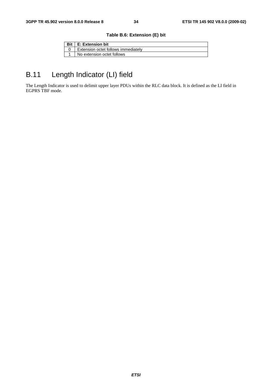#### **Table B.6: Extension (E) bit**

| <b>E: Extension bit</b>             |
|-------------------------------------|
| Extension octet follows immediately |
| No extension octet follows          |

## B.11 Length Indicator (LI) field

The Length Indicator is used to delimit upper layer PDUs within the RLC data block. It is defined as the LI field in EGPRS TBF mode.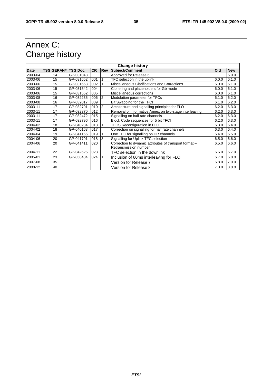## Annex C: Change history

| <b>Change history</b> |                            |           |           |                |                                                        |            |            |
|-----------------------|----------------------------|-----------|-----------|----------------|--------------------------------------------------------|------------|------------|
| Date                  | <b>TSG GERAN# TSG Doc.</b> |           | <b>CR</b> | Rev            | <b>Subject/Comment</b>                                 | <b>Old</b> | <b>New</b> |
| 2003-04               | 14                         | GP-031048 |           |                | Approved for Release 6                                 |            | 6.0.0      |
| 2003-06               | 15                         | GP-031652 | 001       | 1              | TFC selection in the uplink                            | 6.0.0      | 6.1.0      |
| 2003-06               | 15                         | GP-031653 | 002       | 1              | Miscellaneous Clarifications and Corrections           | 6.0.0      | 6.1.0      |
| 2003-06               | 15                         | GP-031542 | 004       |                | Ciphering and placeholders for Gb mode                 | 6.0.0      | 6.1.0      |
| 2003-06               | 15                         | GP-031552 | 005       |                | Miscellaneous corrections                              | 6.0.0      | 6.1.0      |
| 2003-08               | 16                         | GP-032235 | 006       | 2              | Modulation parameter for TFCs                          | 6.1.0      | 6.2.0      |
| 2003-08               | 16                         | GP-032017 | 009       |                | Bit Swapping for the TFCI                              | 6.1.0      | 6.2.0      |
| 2003-11               | 17                         | GP-032701 | 010       | $\overline{2}$ | Architecture and signalling principles for FLO         | 6.2.0      | 6.3.0      |
| 2003-11               | 17                         | GP-032370 | 012       |                | Removal of informative Annex on two-stage interleaving | 6.2.0      | 6.3.0      |
| 2003-11               | 17                         | GP-032472 | 015       |                | Signalling on half rate channels                       | 6.2.0      | 6.3.0      |
| 2003-11               | 17                         | GP-032796 | 016       |                | Block Code sequences for 5 bit TFCI                    | 6.2.0      | 6.3.0      |
| 2004-02               | 18                         | GP-040234 | 013       |                | <b>TFCS Reconfiguration in FLO</b>                     | 6.3.0      | 6.4.0      |
| 2004-02               | 18                         | GP-040163 | 017       |                | Correction on signalling for half rate channels        | 6.3.0      | 6.4.0      |
| 2004-04               | 19                         | GP-041166 | 019       |                | One TFC for signalling on HR channels                  | 6.4.0      | 6.5.0      |
| 2004-06               | 20                         | GP-041701 | 018       | 3              | Signalling for Uplink TFC selection                    | 6.5.0      | 6.6.0      |
| 2004-06               | 20                         | GP-041411 | 020       |                | Correction to dynamic attributes of transport format - | 6.5.0      | 6.6.0      |
|                       |                            |           |           |                | Retransmission number                                  |            |            |
| 2004-11               | 22                         | GP-042625 | 023       |                | TFC selection in the downlink                          | 6.6.0      | 6.7.0      |
| 2005-01               | 23                         | GP-050484 | 024       | 1              | Inclusion of 60ms interleaving for FLO                 | 6.7.0      | 6.8.0      |
| 2007-08               | 35                         |           |           |                | Version for Release 7                                  | 6.8.0      | 7.0.0      |
| 2008-12               | 40                         |           |           |                | Version for Release 8                                  | 7.0.0      | 8.0.0      |